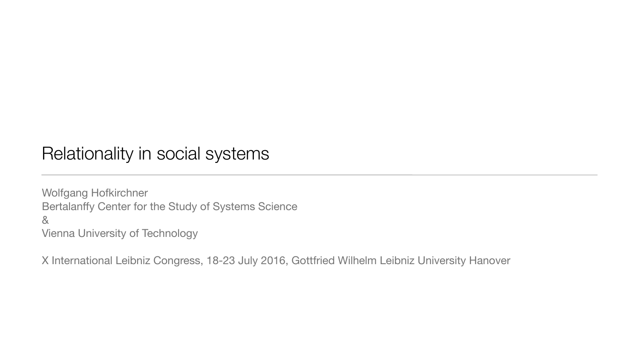### Relationality in social systems

Wolfgang Hofkirchner Bertalanffy Center for the Study of Systems Science & Vienna University of Technology

X International Leibniz Congress, 18-23 July 2016, Gottfried Wilhelm Leibniz University Hanover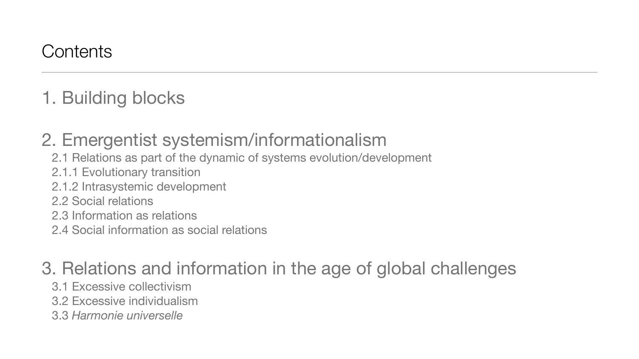1. Building blocks

# 2. Emergentist systemism/informationalism

- 2.1 Relations as part of the dynamic of systems evolution/development
- 2.1.1 Evolutionary transition
- 2.1.2 Intrasystemic development
- 2.2 Social relations
- 2.3 Information as relations
- 2.4 Social information as social relations

# 3. Relations and information in the age of global challenges

- 3.1 Excessive collectivism
- 3.2 Excessive individualism
- 3.3 *Harmonie universelle*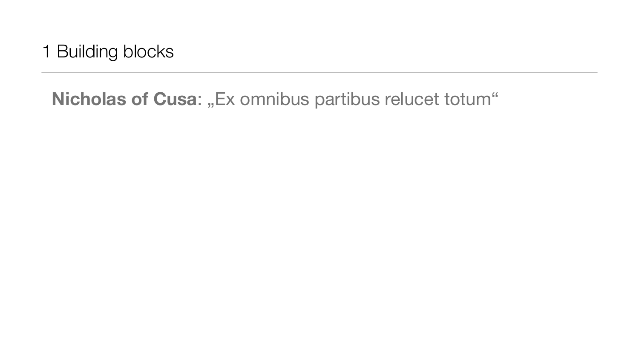1 Building blocks

## Nicholas of Cusa: "Ex omnibus partibus relucet totum"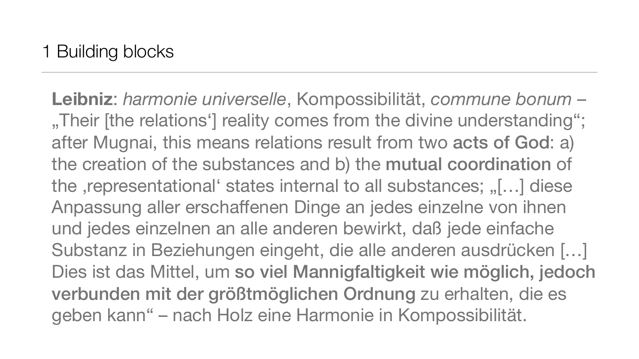**Leibniz**: *harmonie universelle*, Kompossibilität, *commune bonum* – "Their [the relations'] reality comes from the divine understanding"; after Mugnai, this means relations result from two acts of God: a) the creation of the substances and b) the mutual coordination of the , representational' states internal to all substances; "[...] diese Anpassung aller erschaffenen Dinge an jedes einzelne von ihnen und jedes einzelnen an alle anderen bewirkt, daß jede einfache Substanz in Beziehungen eingeht, die alle anderen ausdrücken […] Dies ist das Mittel, um so viel Mannigfaltigkeit wie möglich, jedoch verbunden mit der größtmöglichen Ordnung zu erhalten, die es geben kann" – nach Holz eine Harmonie in Kompossibilität.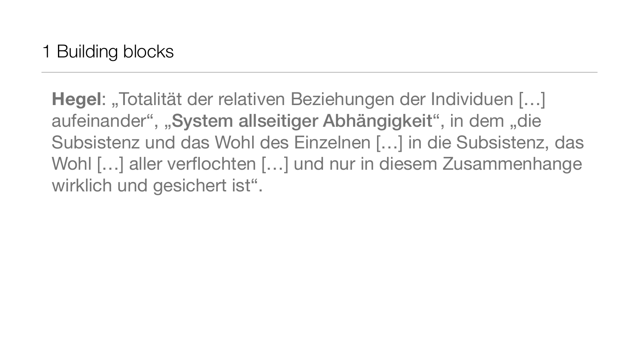**Hegel: "Totalität der relativen Beziehungen der Individuen […]** aufeinander", "System allseitiger Abhängigkeit", in dem "die Subsistenz und das Wohl des Einzelnen […] in die Subsistenz, das Wohl […] aller verflochten […] und nur in diesem Zusammenhange wirklich und gesichert ist".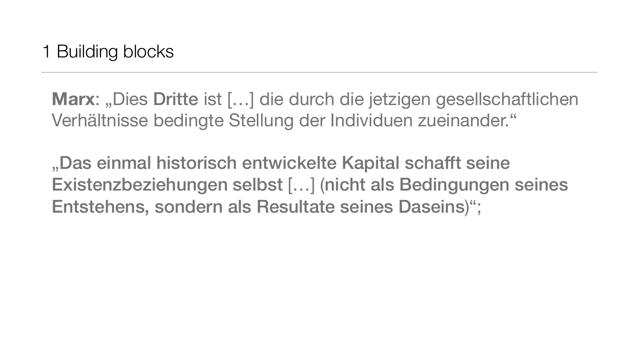**Marx:** "Dies Dritte ist [...] die durch die jetzigen gesellschaftlichen Verhältnisse bedingte Stellung der Individuen zueinander."

"Das einmal historisch entwickelte Kapital schafft seine Existenzbeziehungen selbst […] (nicht als Bedingungen seines Entstehens, sondern als Resultate seines Daseins)";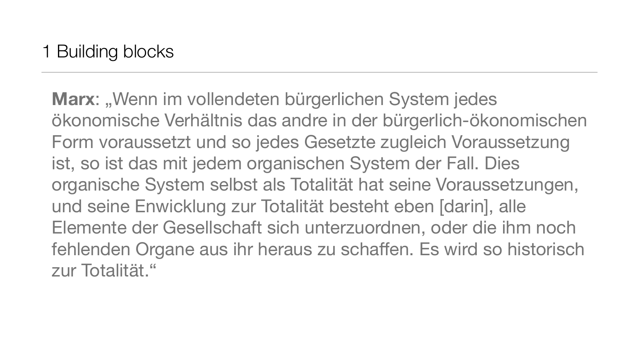Marx: "Wenn im vollendeten bürgerlichen System jedes ökonomische Verhältnis das andre in der bürgerlich-ökonomischen Form voraussetzt und so jedes Gesetzte zugleich Voraussetzung ist, so ist das mit jedem organischen System der Fall. Dies organische System selbst als Totalität hat seine Voraussetzungen, und seine Enwicklung zur Totalität besteht eben [darin], alle Elemente der Gesellschaft sich unterzuordnen, oder die ihm noch fehlenden Organe aus ihr heraus zu schaffen. Es wird so historisch zur Totalität."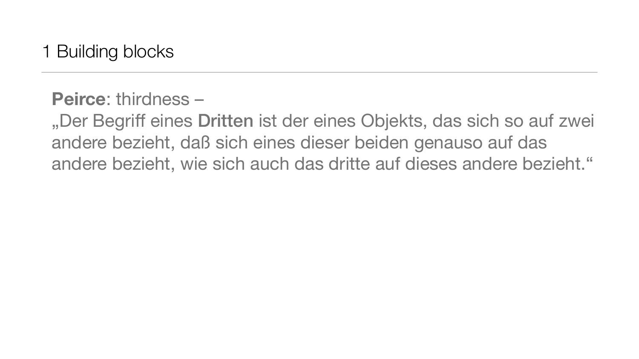1 Building blocks

### **Peirce**: thirdness –

"Der Begriff eines Dritten ist der eines Objekts, das sich so auf zwei andere bezieht, daß sich eines dieser beiden genauso auf das andere bezieht, wie sich auch das dritte auf dieses andere bezieht."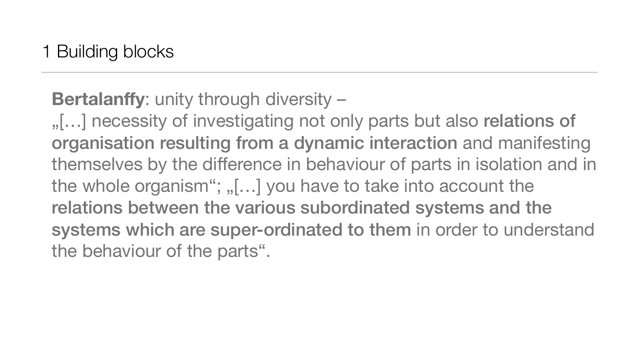## **Bertalanffy**: unity through diversity –

"[...] necessity of investigating not only parts but also relations of organisation resulting from a dynamic interaction and manifesting themselves by the difference in behaviour of parts in isolation and in the whole organism";  $n$ , [ $\ldots$ ] you have to take into account the relations between the various subordinated systems and the systems which are super-ordinated to them in order to understand the behaviour of the parts".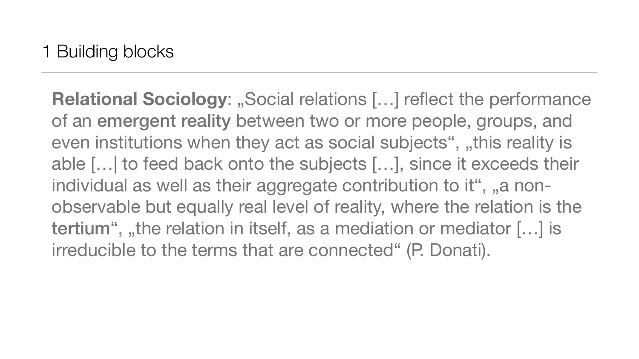**Relational Sociology: "Social relations [...] reflect the performance** of an emergent reality between two or more people, groups, and even institutions when they act as social subjects", "this reality is able […| to feed back onto the subjects […], since it exceeds their individual as well as their aggregate contribution to it", "a nonobservable but equally real level of reality, where the relation is the tertium", "the relation in itself, as a mediation or mediator  $[...]$  is irreducible to the terms that are connected" (P. Donati).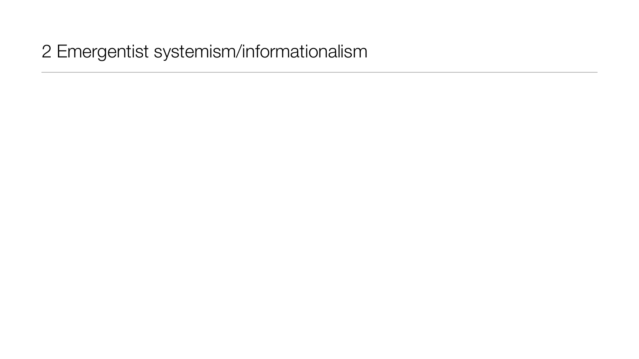### 2 Emergentist systemism/informationalism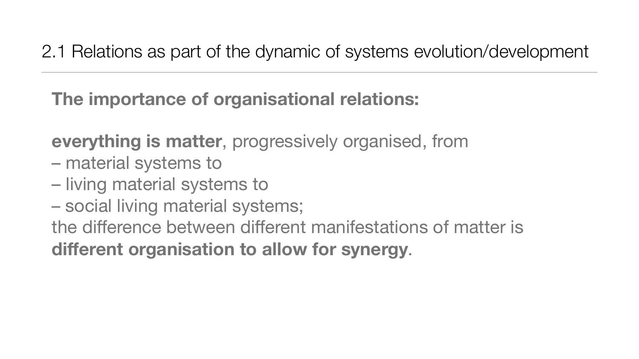## 2.1 Relations as part of the dynamic of systems evolution/development

## **The importance of organisational relations:**

**everything is matter**, progressively organised, from

- material systems to
- living material systems to
- social living material systems;

the difference between different manifestations of matter is **different organisation to allow for synergy**.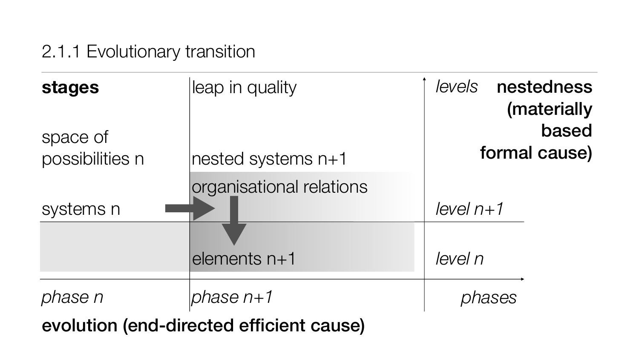### 2.1.1 Evolutionary transition

*level n+1*

*level n*

*phases*

| <b>stages</b>               | leap in quality                           | le |  |
|-----------------------------|-------------------------------------------|----|--|
| space of<br>possibilities n | $ {\sf nested}$ systems n $+1$            |    |  |
| systems n                   | organisational relations                  | le |  |
|                             | elements n+1                              | le |  |
| phase n                     | <i>phase n+1</i>                          |    |  |
| _ _ _ 1. _1.                | $\sim$ $\sim$ $\sim$ $\sim$ $\sim$ $\sim$ |    |  |

## *levels* nestedness (materially based formal cause)

evolution (end-directed efficient cause)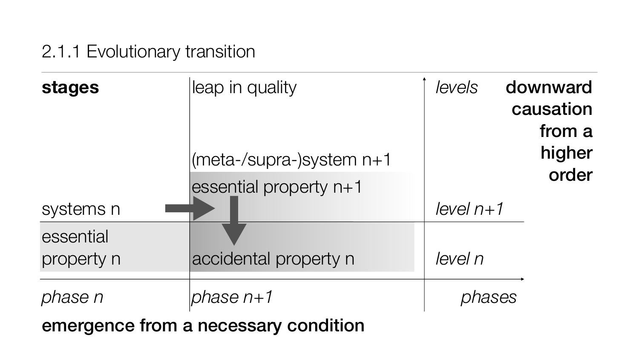### 2.1.1 Evolutionary transition

*level n+1*

| <b>stages</b>           | leap in quality                                    |     |
|-------------------------|----------------------------------------------------|-----|
| systems n               | (meta-/supra-)system n+1<br>essential property n+1 | ley |
| essential<br>property n | accidental property n                              | ley |
| hase n                  | phase n+1                                          |     |

*level n*

*phases*

### *levels* downward causation from a higher order

emergence from a necessary condition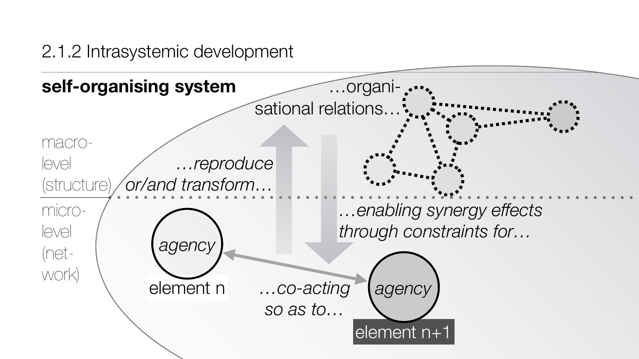### 2.1.2 Intrasystemic development

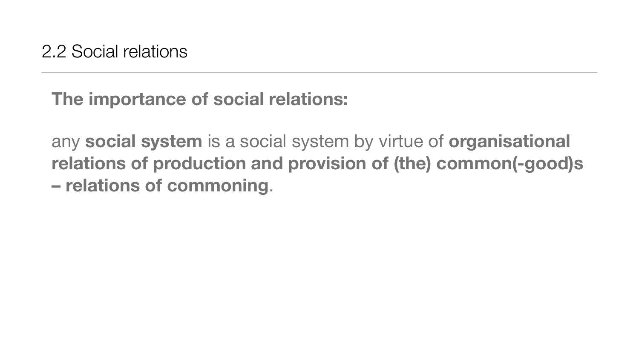## **The importance of social relations:**

any **social system** is a social system by virtue of **organisational relations of production and provision of (the) common(-good)s – relations of commoning**.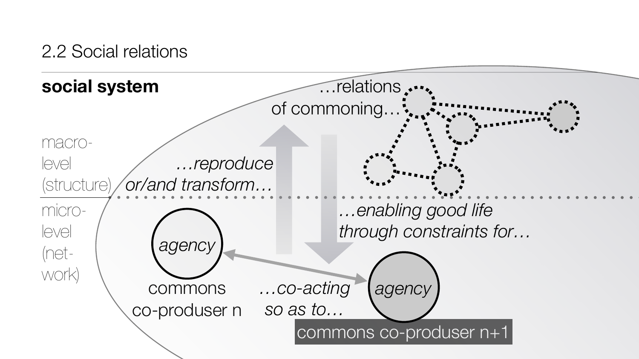### 2.2 Social relations

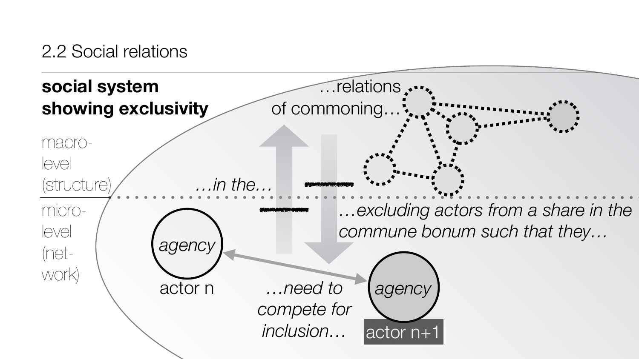### 2.2 Social relations

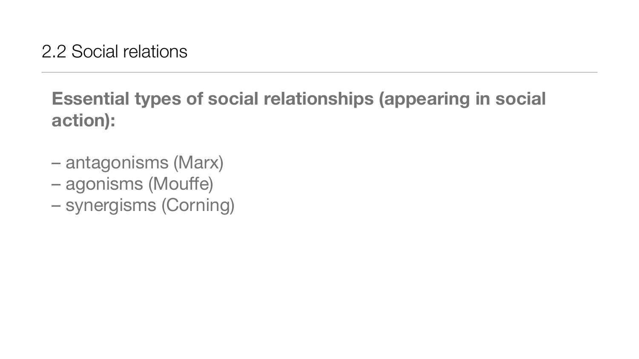# **Essential types of social relationships (appearing in social action):**

- antagonisms (Marx)
- agonisms (Mouffe)
- synergisms (Corning)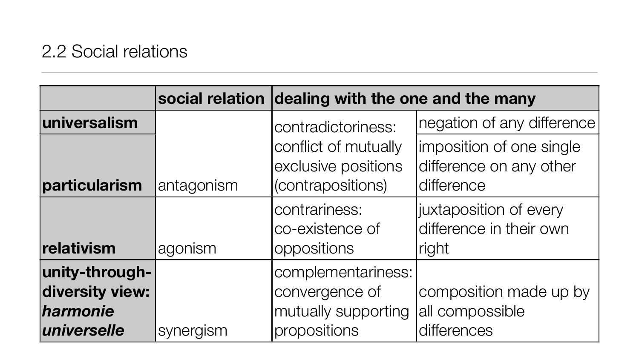### 2.2 Social relations

|                                                              |                  | social relation dealing with the one and the many                           |                                                                                  |
|--------------------------------------------------------------|------------------|-----------------------------------------------------------------------------|----------------------------------------------------------------------------------|
| universalism                                                 |                  | contradictoriness:<br>conflict of mutually<br>exclusive positions           | negation of any differenc<br>imposition of one single<br>difference on any other |
| particularism                                                | antagonism       | (contrapositions)                                                           | difference                                                                       |
| relativism                                                   | agonism          | contrariness:<br>co-existence of<br><b>oppositions</b>                      | juxtaposition of every<br>difference in their own<br>right                       |
| unity-through-<br>diversity view:<br>harmonie<br>universelle | <b>Synergism</b> | complementariness:<br>convergence of<br>mutually supporting<br>propositions | composition made up by<br>all compossible<br>differences                         |

## **social the many**

- ation of any difference
- erence on any other
- rence
- aposition of every erence in their own

position made up by ompossible rences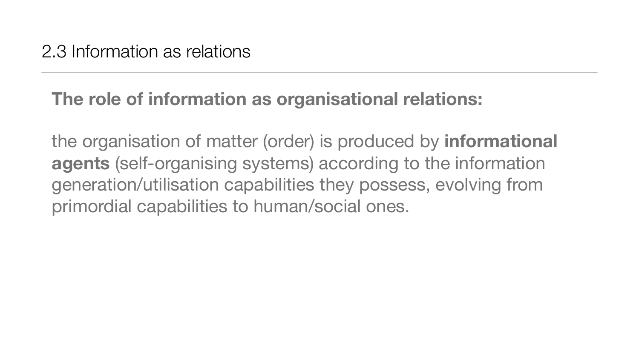## **The role of information as organisational relations:**

the organisation of matter (order) is produced by **informational agents** (self-organising systems) according to the information generation/utilisation capabilities they possess, evolving from primordial capabilities to human/social ones.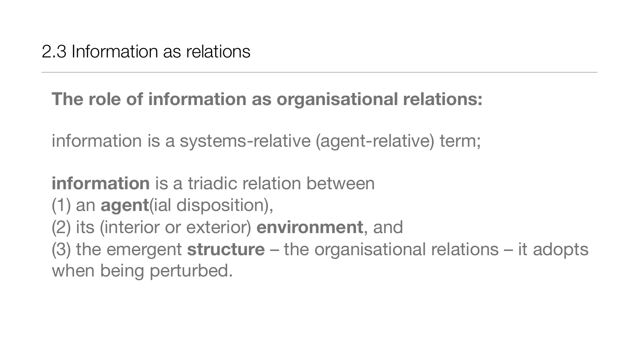## **The role of information as organisational relations:**

information is a systems-relative (agent-relative) term;

**information** is a triadic relation between

(1) an **agent**(ial disposition),

(2) its (interior or exterior) **environment**, and

(3) the emergent **structure** – the organisational relations – it adopts when being perturbed.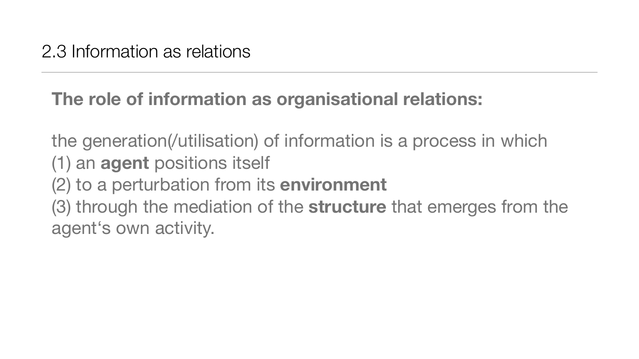## **The role of information as organisational relations:**

the generation(/utilisation) of information is a process in which (1) an **agent** positions itself (2) to a perturbation from its **environment** (3) through the mediation of the **structure** that emerges from the agent's own activity.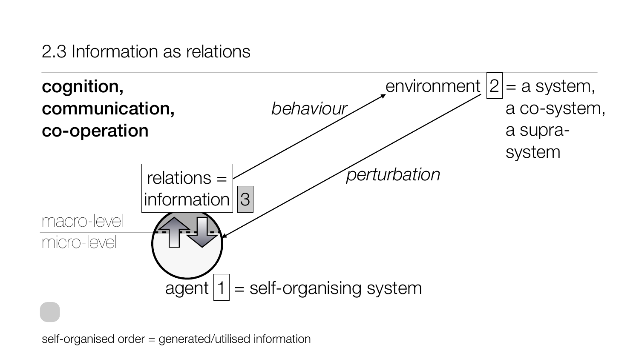self-organised order = generated/utilised information

### 2.3 Information as relations

## $=$  a system, a co-system, a suprasystem

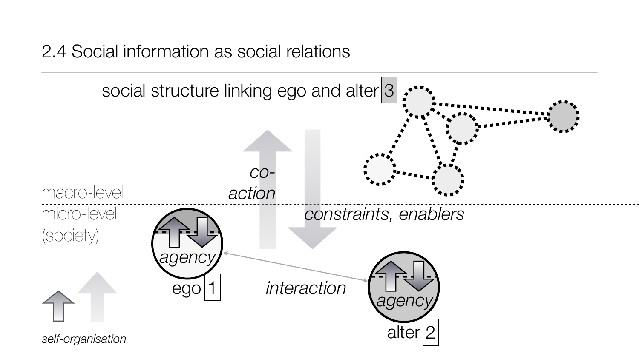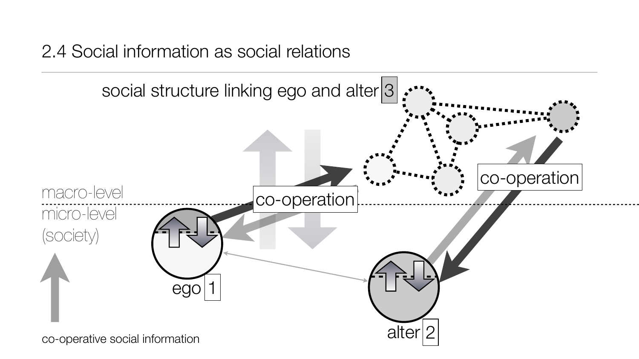co-operative social information

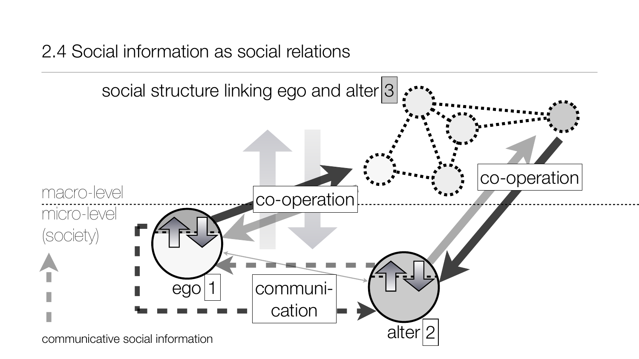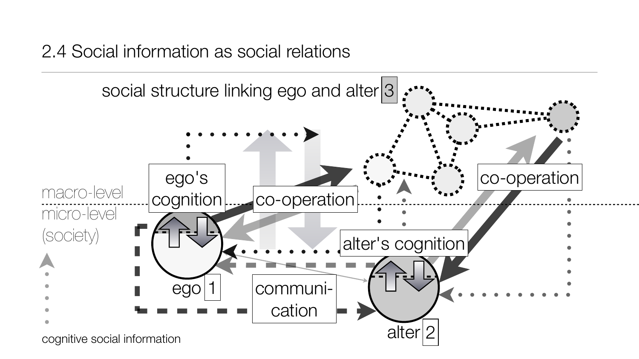cognitive social information

![](_page_27_Figure_1.jpeg)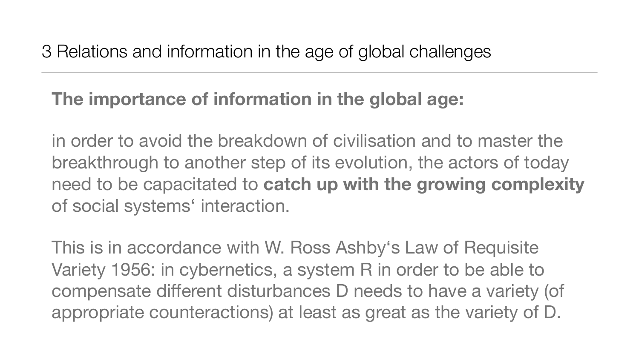## **The importance of information in the global age:**

in order to avoid the breakdown of civilisation and to master the breakthrough to another step of its evolution, the actors of today need to be capacitated to **catch up with the growing complexity** of social systems' interaction.

This is in accordance with W. Ross Ashby's Law of Requisite Variety 1956: in cybernetics, a system R in order to be able to compensate different disturbances D needs to have a variety (of appropriate counteractions) at least as great as the variety of D.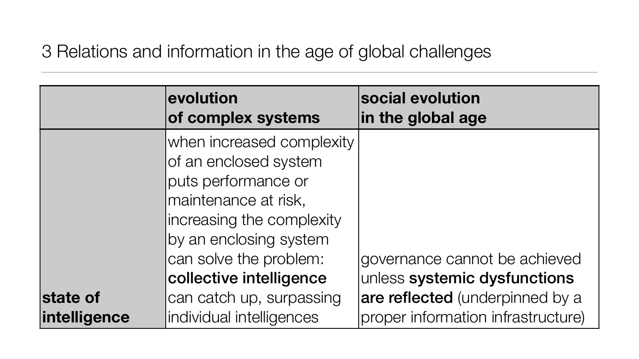|                          | evolution<br>of complex systems                                                                                                                                                    | social evolu<br>in the globa   |
|--------------------------|------------------------------------------------------------------------------------------------------------------------------------------------------------------------------------|--------------------------------|
|                          | when increased complexity<br>of an enclosed system<br>puts performance or<br>maintenance at risk,<br>increasing the complexity<br>by an enclosing system<br>can solve the problem: | governance                     |
|                          | collective intelligence                                                                                                                                                            | unless syste                   |
| state of<br>intelligence | can catch up, surpassing<br>individual intelligences                                                                                                                               | are reflected<br>proper inforn |

## **stion in age**

### cannot be achieved mic dysfunctions d (underpinned by a nation infrastructure)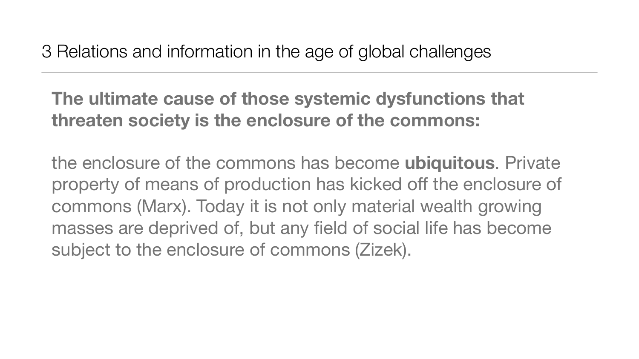**The ultimate cause of those systemic dysfunctions that threaten society is the enclosure of the commons:** 

the enclosure of the commons has become **ubiquitous**. Private property of means of production has kicked off the enclosure of commons (Marx). Today it is not only material wealth growing masses are deprived of, but any field of social life has become subject to the enclosure of commons (Zizek).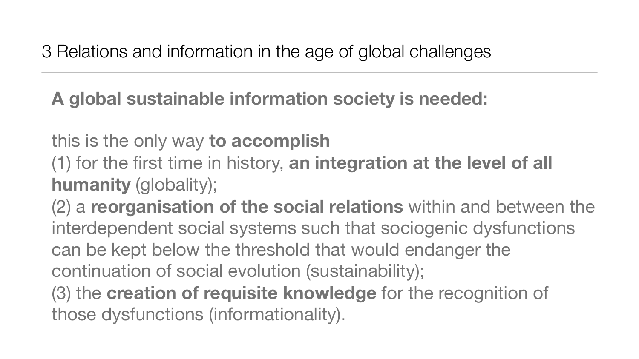## **A global sustainable information society is needed:**

this is the only way **to accomplish**

(1) for the first time in history, **an integration at the level of all humanity** (globality);

(2) a **reorganisation of the social relations** within and between the interdependent social systems such that sociogenic dysfunctions can be kept below the threshold that would endanger the continuation of social evolution (sustainability); (3) the **creation of requisite knowledge** for the recognition of those dysfunctions (informationality).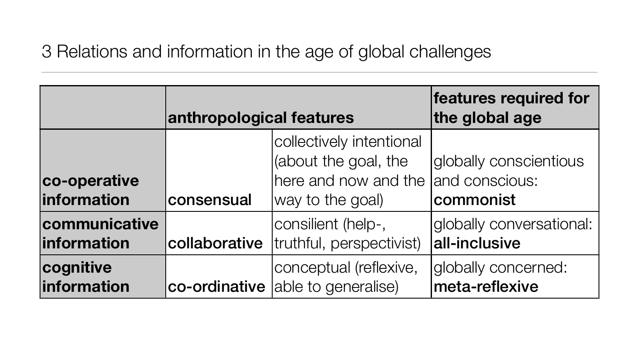## **features required for the global age**

- obally conscientious d conscious:
- commonist
- obally conversational: l-inclusive
- obally concerned:
- eta-reflexive

|                             | anthropological features |                                                                                              |                 |
|-----------------------------|--------------------------|----------------------------------------------------------------------------------------------|-----------------|
| co-operative<br>information | consensual               | collectively intentional<br>(about the goal, the<br>here and now and the<br>way to the goal) | glo<br>an<br>CO |
| communicative               | collaborative            | consilient (help-,                                                                           | glo             |
| information                 |                          | truthful, perspectivist)                                                                     | all             |
| cognitive                   | co-ordinative            | conceptual (reflexive,                                                                       | glo             |
| information                 |                          | able to generalise)                                                                          | m               |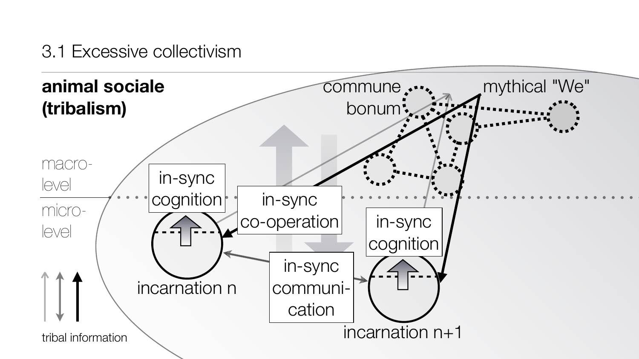![](_page_33_Figure_1.jpeg)

### 3.1 Excessive collectivism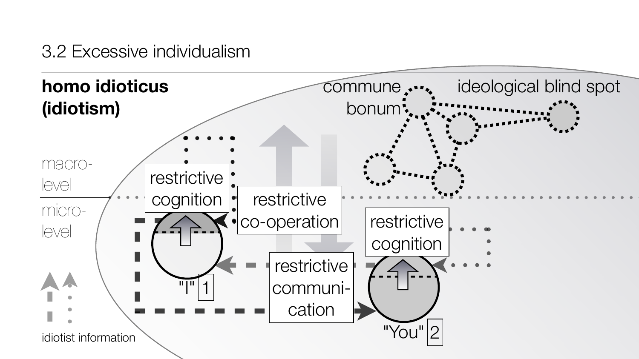![](_page_34_Figure_1.jpeg)

### 3.2 Excessive individualism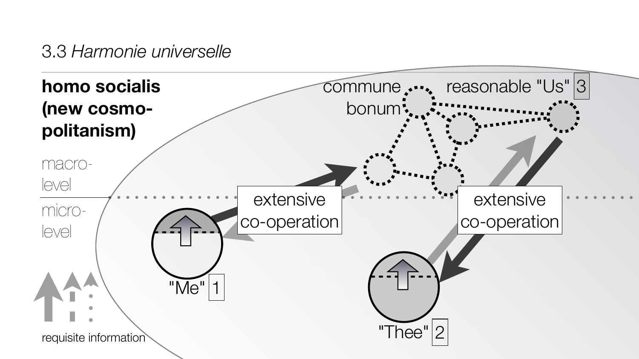![](_page_35_Figure_1.jpeg)

### 3.3 *Harmonie universelle*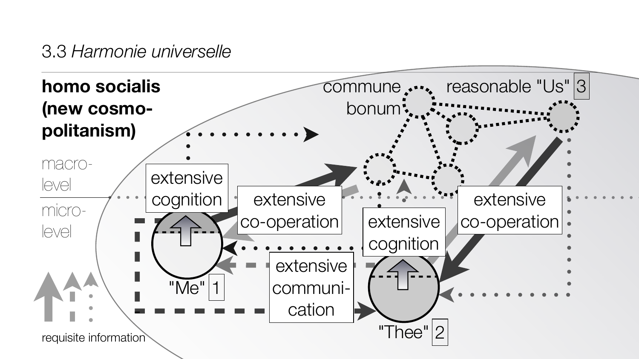![](_page_36_Figure_1.jpeg)

### 3.3 *Harmonie universelle*